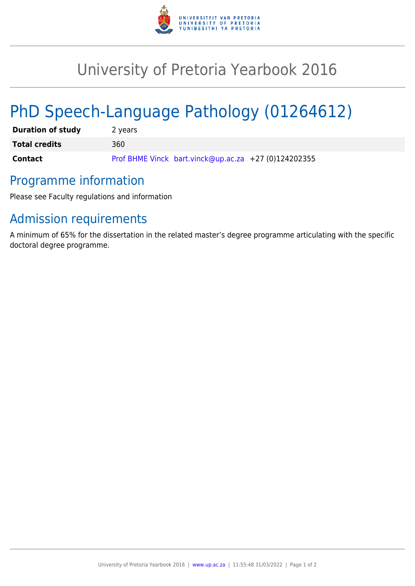

## University of Pretoria Yearbook 2016

# PhD Speech-Language Pathology (01264612)

| <b>Duration of study</b> | 2 years                                              |
|--------------------------|------------------------------------------------------|
| <b>Total credits</b>     | 360                                                  |
| <b>Contact</b>           | Prof BHME Vinck bart.vinck@up.ac.za +27 (0)124202355 |

### Programme information

Please see Faculty regulations and information

## Admission requirements

A minimum of 65% for the dissertation in the related master's degree programme articulating with the specific doctoral degree programme.